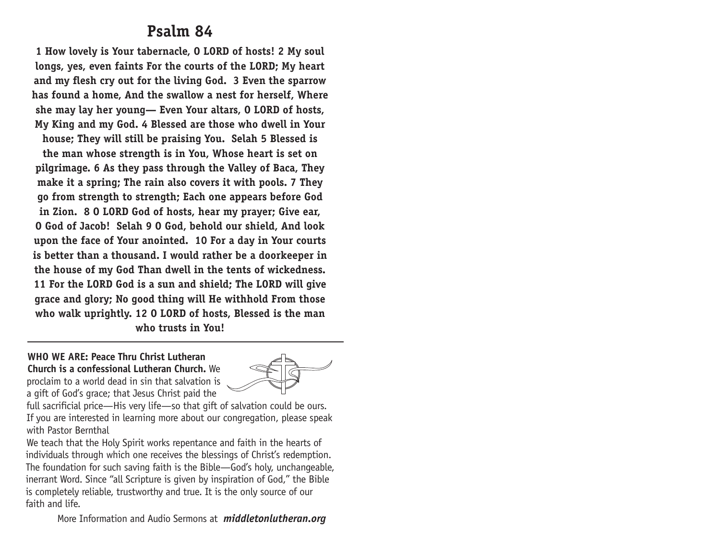# **Psalm 84**

**1 How lovely is Your tabernacle, O LORD of hosts! 2 My soul longs, yes, even faints For the courts of the LORD; My heart and my flesh cry out for the living God. 3 Even the sparrow has found a home, And the swallow a nest for herself, Where she may lay her young— Even Your altars, O LORD of hosts, My King and my God. 4 Blessed are those who dwell in Your house; They will still be praising You. Selah 5 Blessed is the man whose strength is in You, Whose heart is set on pilgrimage. 6 As they pass through the Valley of Baca, They make it a spring; The rain also covers it with pools. 7 They go from strength to strength; Each one appears before God in Zion. 8 O LORD God of hosts, hear my prayer; Give ear, O God of Jacob! Selah 9 O God, behold our shield, And look upon the face of Your anointed. 10 For a day in Your courts is better than a thousand. I would rather be a doorkeeper in the house of my God Than dwell in the tents of wickedness. 11 For the LORD God is a sun and shield; The LORD will give grace and glory; No good thing will He withhold From those who walk uprightly. 12 O LORD of hosts, Blessed is the man who trusts in You!**

**WHO WE ARE: Peace Thru Christ Lutheran Church is a confessional Lutheran Church.** We proclaim to a world dead in sin that salvation is a gift of God's grace; that Jesus Christ paid the



full sacrificial price—His very life—so that gift of salvation could be ours. If you are interested in learning more about our congregation, please speak with Pastor Bernthal

We teach that the Holy Spirit works repentance and faith in the hearts of individuals through which one receives the blessings of Christ's redemption. The foundation for such saving faith is the Bible—God's holy, unchangeable, inerrant Word. Since "all Scripture is given by inspiration of God," the Bible is completely reliable, trustworthy and true. It is the only source of our faith and life.

More Information and Audio Sermons at *middletonlutheran.org*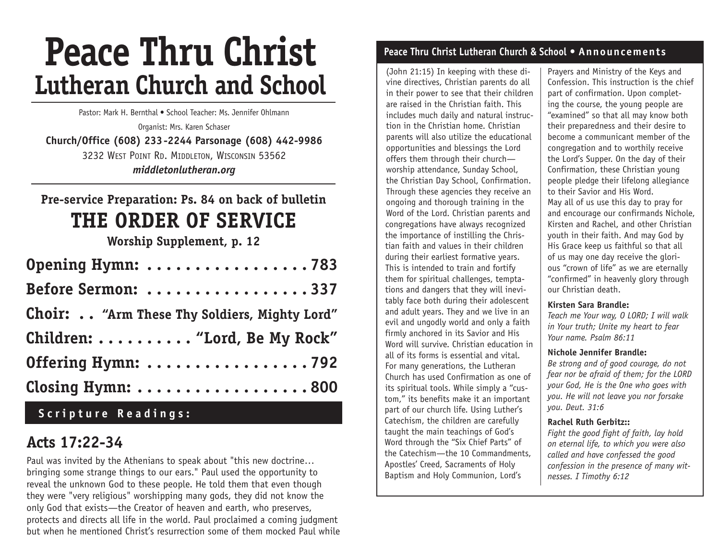# **Peace Thru Christ Lutheran Church and School**

Pastor: Mark H. Bernthal • School Teacher: Ms. Jennifer Ohlmann

Organist: Mrs. Karen Schaser **Church/Office (608) 233-2244 Parsonage (608) 442-9986** 3232 West Point Rd. Middleton, Wisconsin 53562 *middletonlutheran.org*

# **Pre-service Preparation: Ps. 84 on back of bulletin THE ORDER OF Service**

**Worship Supplement, p. 12**

| Opening Hymn: 783                            |
|----------------------------------------------|
| Before Sermon: 337                           |
| Choir: "Arm These Thy Soldiers, Mighty Lord" |
| Children:  "Lord, Be My Rock"                |
| Offering Hymn: 792                           |
| Closing Hymn: 800                            |

# **Scripture Readings:**

# **Acts 17:22-34**

Paul was invited by the Athenians to speak about "this new doctrine… bringing some strange things to our ears." Paul used the opportunity to reveal the unknown God to these people. He told them that even though they were "very religious" worshipping many gods, they did not know the only God that exists—the Creator of heaven and earth, who preserves, protects and directs all life in the world. Paul proclaimed a coming judgment but when he mentioned Christ's resurrection some of them mocked Paul while

### **Peace Thru Christ Lutheran Church & School • Announcements**

(John 21:15) In keeping with these divine directives, Christian parents do all in their power to see that their children are raised in the Christian faith. This includes much daily and natural instruction in the Christian home. Christian parents will also utilize the educational opportunities and blessings the Lord offers them through their church worship attendance, Sunday School, the Christian Day School, Confirmation. Through these agencies they receive an ongoing and thorough training in the Word of the Lord. Christian parents and congregations have always recognized the importance of instilling the Christian faith and values in their children during their earliest formative years. This is intended to train and fortify them for spiritual challenges, temptations and dangers that they will inevitably face both during their adolescent and adult years. They and we live in an evil and ungodly world and only a faith firmly anchored in its Savior and His Word will survive. Christian education in all of its forms is essential and vital. For many generations, the Lutheran Church has used Confirmation as one of its spiritual tools. While simply a "custom," its benefits make it an important part of our church life. Using Luther's Catechism, the children are carefully taught the main teachings of God's Word through the "Six Chief Parts" of the Catechism—the 10 Commandments, Apostles' Creed, Sacraments of Holy Baptism and Holy Communion, Lord's

Prayers and Ministry of the Keys and Confession. This instruction is the chief part of confirmation. Upon completing the course, the young people are "examined" so that all may know both their preparedness and their desire to become a communicant member of the congregation and to worthily receive the Lord's Supper. On the day of their Confirmation, these Christian young people pledge their lifelong allegiance to their Savior and His Word. May all of us use this day to pray for and encourage our confirmands Nichole, Kirsten and Rachel, and other Christian youth in their faith. And may God by His Grace keep us faithful so that all of us may one day receive the glorious "crown of life" as we are eternally "confirmed" in heavenly glory through our Christian death.

#### **Kirsten Sara Brandle:**

*Teach me Your way, O LORD; I will walk in Your truth; Unite my heart to fear Your name. Psalm 86:11*

### **Nichole Jennifer Brandle:**

*Be strong and of good courage, do not fear nor be afraid of them; for the LORD your God, He is the One who goes with you. He will not leave you nor forsake you. Deut. 31:6*

### **Rachel Ruth Gerbitz::**

*Fight the good fight of faith, lay hold on eternal life, to which you were also called and have confessed the good confession in the presence of many witnesses. I Timothy 6:12*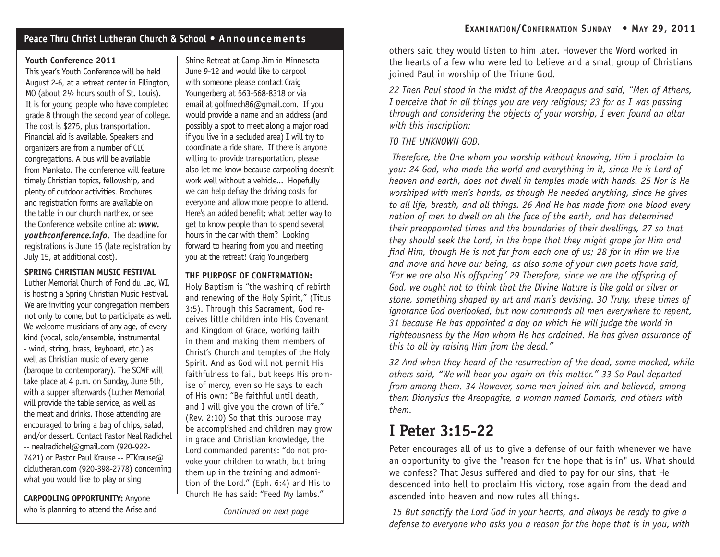### **Peace Thru Christ Lutheran Church & School • Announcements**

### **Youth Conference 2011**

This year's Youth Conference will be held August 2-6, at a retreat center in Ellington, MO (about 2½ hours south of St. Louis). It is for young people who have completed grade 8 through the second year of college. The cost is \$275, plus transportation. Financial aid is available. Speakers and organizers are from a number of CLC congregations. A bus will be available from Mankato. The conference will feature timely Christian topics, fellowship, and plenty of outdoor activities. Brochures and registration forms are available on the table in our church narthex, or see the Conference website online at: *www. youthconference.info.* The deadline for registrations is June 15 (late registration by July 15, at additional cost).

### **SPRING CHRISTIAN MUSIC FESTIVAL**

Luther Memorial Church of Fond du Lac, WI, is hosting a Spring Christian Music Festival. We are inviting your congregation members not only to come, but to participate as well. We welcome musicians of any age, of every kind (vocal, solo/ensemble, instrumental - wind, string, brass, keyboard, etc.) as well as Christian music of every genre (baroque to contemporary). The SCMF will take place at 4 p.m. on Sunday, June 5th, with a supper afterwards (Luther Memorial will provide the table service, as well as the meat and drinks. Those attending are encouraged to bring a bag of chips, salad, and/or dessert. Contact Pastor Neal Radichel -- nealradichel@gmail.com (920-922- 7421) or Pastor Paul Krause -- PTKrause@ clclutheran.com (920-398-2778) concerning what you would like to play or sing

**CARPOOLING OPPORTUNITY:** Anyone who is planning to attend the Arise and

Shine Retreat at Camp Jim in Minnesota June 9-12 and would like to carpool with someone please contact Craig Youngerberg at 563-568-8318 or via email at golfmech86@gmail.com. If you would provide a name and an address (and possibly a spot to meet along a major road if you live in a secluded area) I will try to coordinate a ride share. If there is anyone willing to provide transportation, please also let me know because carpooling doesn't work well without a vehicle... Hopefully we can help defray the driving costs for everyone and allow more people to attend. Here's an added benefit; what better way to get to know people than to spend several hours in the car with them? Looking forward to hearing from you and meeting you at the retreat! Craig Youngerberg

### **THE PURPOSE OF CONFIRMATION:**

Holy Baptism is "the washing of rebirth and renewing of the Holy Spirit," (Titus 3:5). Through this Sacrament, God receives little children into His Covenant and Kingdom of Grace, working faith in them and making them members of Christ's Church and temples of the Holy Spirit. And as God will not permit His faithfulness to fail, but keeps His promise of mercy, even so He says to each of His own: "Be faithful until death, and I will give you the crown of life." (Rev. 2:10) So that this purpose may be accomplished and children may grow in grace and Christian knowledge, the Lord commanded parents: "do not provoke your children to wrath, but bring them up in the training and admonition of the Lord." (Eph. 6:4) and His to Church He has said: "Feed My lambs."

*Continued on next page*

others said they would listen to him later. However the Word worked in the hearts of a few who were led to believe and a small group of Christians joined Paul in worship of the Triune God.

*22 Then Paul stood in the midst of the Areopagus and said, "Men of Athens, I perceive that in all things you are very religious; 23 for as I was passing through and considering the objects of your worship, I even found an altar with this inscription:*

### *TO THE UNKNOWN GOD.*

 *Therefore, the One whom you worship without knowing, Him I proclaim to you: 24 God, who made the world and everything in it, since He is Lord of heaven and earth, does not dwell in temples made with hands. 25 Nor is He worshiped with men's hands, as though He needed anything, since He gives to all life, breath, and all things. 26 And He has made from one blood every nation of men to dwell on all the face of the earth, and has determined their preappointed times and the boundaries of their dwellings, 27 so that they should seek the Lord, in the hope that they might grope for Him and find Him, though He is not far from each one of us; 28 for in Him we live and move and have our being, as also some of your own poets have said, 'For we are also His offspring.' 29 Therefore, since we are the offspring of*  God, we ought not to think that the Divine Nature is like gold or silver or *stone, something shaped by art and man's devising. 30 Truly, these times of ignorance God overlooked, but now commands all men everywhere to repent, 31 because He has appointed a day on which He will judge the world in righteousness by the Man whom He has ordained. He has given assurance of this to all by raising Him from the dead."*

*32 And when they heard of the resurrection of the dead, some mocked, while others said, "We will hear you again on this matter." 33 So Paul departed from among them. 34 However, some men joined him and believed, among them Dionysius the Areopagite, a woman named Damaris, and others with them.*

# **I Peter 3:15-22**

Peter encourages all of us to give a defense of our faith whenever we have an opportunity to give the "reason for the hope that is in" us. What should we confess? That Jesus suffered and died to pay for our sins, that He descended into hell to proclaim His victory, rose again from the dead and ascended into heaven and now rules all things.

 *15 But sanctify the Lord God in your hearts, and always be ready to give a defense to everyone who asks you a reason for the hope that is in you, with*